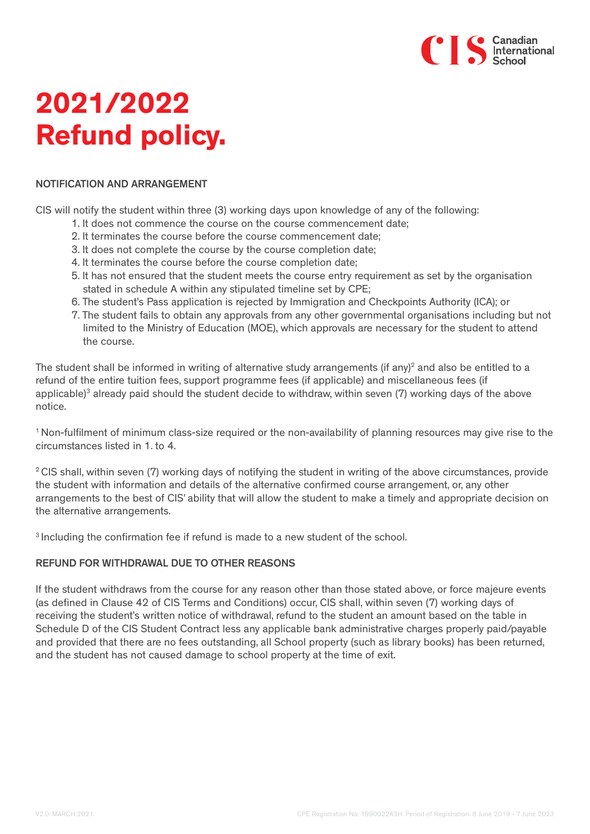

# **2021/2022 Refund policy.**

### NOTIFICATION AND ARRANGEMENT

CIS will notify the student within three (3) working days upon knowledge of any of the following:

- 1. It does not commence the course on the course commencement date;
- 2. It terminates the course before the course commencement date;
- 3. It does not complete the course by the course completion date;
- 4. It terminates the course before the course completion date;
- 5. It has not ensured that the student meets the course entry requirement as set by the organisation stated in schedule A within any stipulated timeline set by CPE;
- 6. The student's Pass application is rejected by Immigration and Checkpoints Authority (ICA); or
- 7. The student fails to obtain any approvals from any other governmental organisations including but not limited to the Ministry of Education (MOE), which approvals are necessary for the student to attend the course.

The student shall be informed in writing of alternative study arrangements (if any)<sup>2</sup> and also be entitled to a refund of the entire tuition fees, support programme fees (if applicable) and miscellaneous fees (if applicable)<sup>3</sup> already paid should the student decide to withdraw, within seven (7) working days of the above notice.

1 Non-fulfilment of minimum class-size required or the non-availability of planning resources may give rise to the circumstances listed in 1. to 4.

<sup>2</sup> CIS shall, within seven (7) working days of notifying the student in writing of the above circumstances, provide the student with information and details of the alternative confirmed course arrangement, or, any other arrangements to the best of CIS' ability that will allow the student to make a timely and appropriate decision on the alternative arrangements.

3 Including the confirmation fee if refund is made to a new student of the school.

# REFUND FOR WITHDRAWAL DUE TO OTHER REASONS

If the student withdraws from the course for any reason other than those stated above, or force majeure events (as defined in Clause 42 of CIS Terms and Conditions) occur, CIS shall, within seven (7) working days of receiving the student's written notice of withdrawal, refund to the student an amount based on the table in Schedule D of the CIS Student Contract less any applicable bank administrative charges properly paid/payable and provided that there are no fees outstanding, all School property (such as library books) has been returned, and the student has not caused damage to school property at the time of exit.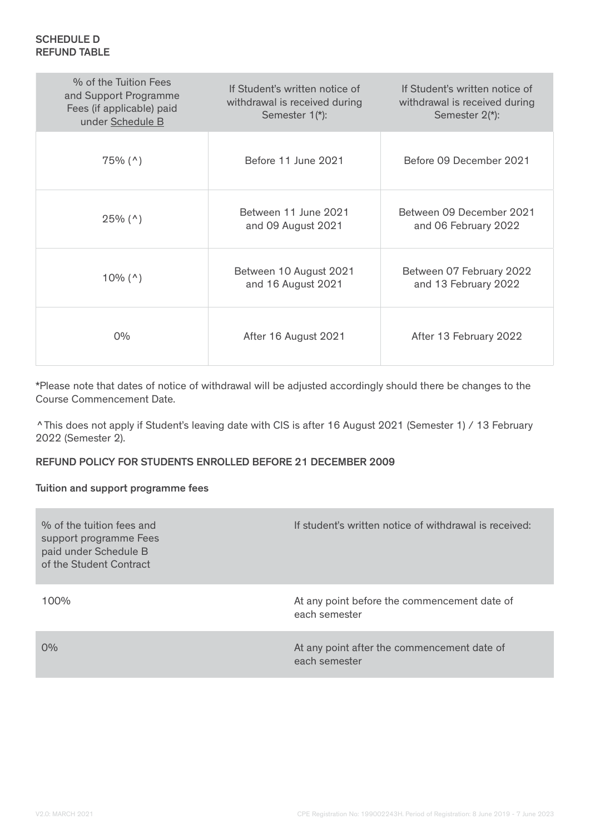| % of the Tuition Fees<br>and Support Programme<br>Fees (if applicable) paid<br>under Schedule B | If Student's written notice of<br>withdrawal is received during<br>Semester 1(*): | If Student's written notice of<br>withdrawal is received during<br>Semester 2(*): |
|-------------------------------------------------------------------------------------------------|-----------------------------------------------------------------------------------|-----------------------------------------------------------------------------------|
| $75\%$ (^)                                                                                      | Before 11 June 2021                                                               | Before 09 December 2021                                                           |
| $25\%$ (^)                                                                                      | Between 11 June 2021<br>and 09 August 2021                                        | Between 09 December 2021<br>and 06 February 2022                                  |
| $10\%$ ( $\land$ )                                                                              | Between 10 August 2021<br>and 16 August 2021                                      | Between 07 February 2022<br>and 13 February 2022                                  |
| $0\%$                                                                                           | After 16 August 2021                                                              | After 13 February 2022                                                            |

\*Please note that dates of notice of withdrawal will be adjusted accordingly should there be changes to the Course Commencement Date.

^This does not apply if Student's leaving date with CIS is after 16 August 2021 (Semester 1) / 13 February 2022 (Semester 2).

# REFUND POLICY FOR STUDENTS ENROLLED BEFORE 21 DECEMBER 2009

### Tuition and support programme fees

| % of the fuition fees and<br>support programme Fees<br>paid under Schedule B<br>of the Student Contract | If student's written notice of withdrawal is received:        |
|---------------------------------------------------------------------------------------------------------|---------------------------------------------------------------|
| $100\%$                                                                                                 | At any point before the commencement date of<br>each semester |
| $0\%$                                                                                                   | At any point after the commencement date of<br>each semester  |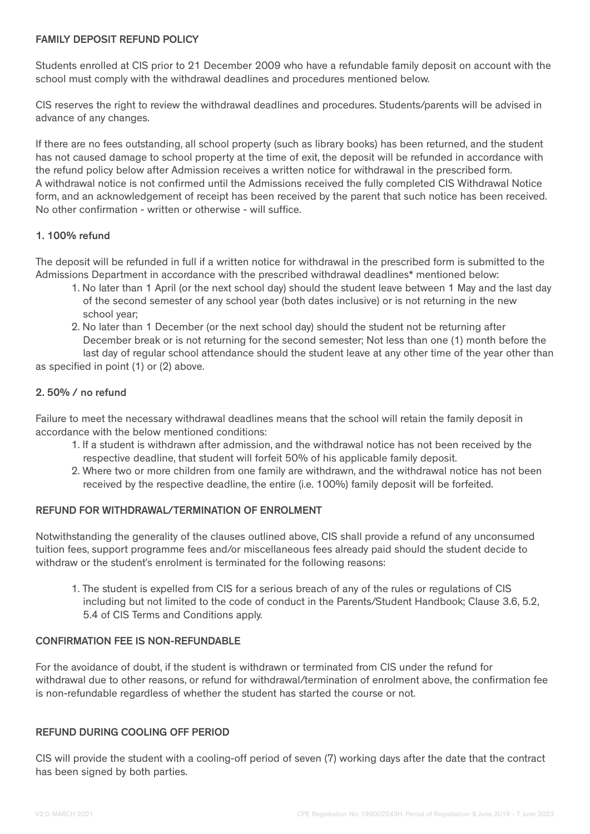## FAMILY DEPOSIT REFUND POLICY

Students enrolled at CIS prior to 21 December 2009 who have a refundable family deposit on account with the school must comply with the withdrawal deadlines and procedures mentioned below.

CIS reserves the right to review the withdrawal deadlines and procedures. Students/parents will be advised in advance of any changes.

If there are no fees outstanding, all school property (such as library books) has been returned, and the student has not caused damage to school property at the time of exit, the deposit will be refunded in accordance with the refund policy below after Admission receives a written notice for withdrawal in the prescribed form. A withdrawal notice is not confirmed until the Admissions received the fully completed CIS Withdrawal Notice form, and an acknowledgement of receipt has been received by the parent that such notice has been received. No other confirmation - written or otherwise - will suffice.

# 1. 100% refund

The deposit will be refunded in full if a written notice for withdrawal in the prescribed form is submitted to the Admissions Department in accordance with the prescribed withdrawal deadlines\* mentioned below:

- 1. No later than 1 April (or the next school day) should the student leave between 1 May and the last day of the second semester of any school year (both dates inclusive) or is not returning in the new school year;
- 2. No later than 1 December (or the next school day) should the student not be returning after December break or is not returning for the second semester; Not less than one (1) month before the

 last day of regular school attendance should the student leave at any other time of the year other than as specified in point (1) or (2) above.

# 2. 50% / no refund

Failure to meet the necessary withdrawal deadlines means that the school will retain the family deposit in accordance with the below mentioned conditions:

- 1. If a student is withdrawn after admission, and the withdrawal notice has not been received by the respective deadline, that student will forfeit 50% of his applicable family deposit.
- 2. Where two or more children from one family are withdrawn, and the withdrawal notice has not been received by the respective deadline, the entire (i.e. 100%) family deposit will be forfeited.

# REFUND FOR WITHDRAWAL/TERMINATION OF ENROLMENT

Notwithstanding the generality of the clauses outlined above, CIS shall provide a refund of any unconsumed tuition fees, support programme fees and/or miscellaneous fees already paid should the student decide to withdraw or the student's enrolment is terminated for the following reasons:

1. The student is expelled from CIS for a serious breach of any of the rules or regulations of CIS including but not limited to the code of conduct in the Parents/Student Handbook; Clause 3.6, 5.2, 5.4 of CIS Terms and Conditions apply.

#### CONFIRMATION FEE IS NON-REFUNDABLE

For the avoidance of doubt, if the student is withdrawn or terminated from CIS under the refund for withdrawal due to other reasons, or refund for withdrawal/termination of enrolment above, the confirmation fee is non-refundable regardless of whether the student has started the course or not.

### REFUND DURING COOLING OFF PERIOD

CIS will provide the student with a cooling-off period of seven (7) working days after the date that the contract has been signed by both parties.